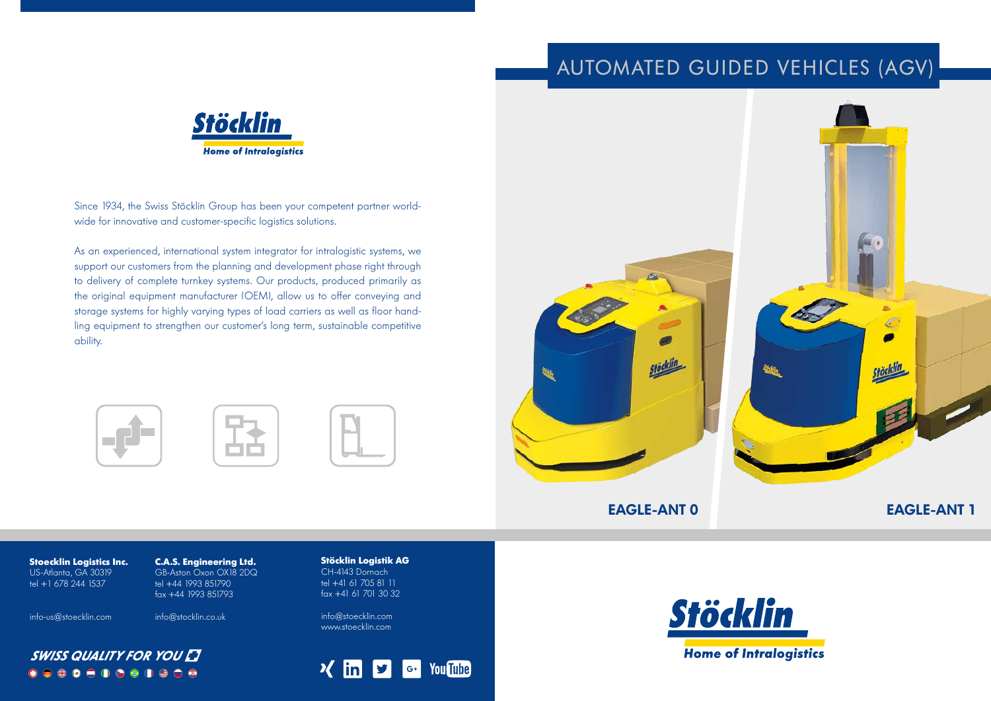**Stöcklin Logistik AG** CH-4143 Dornach tel +41 61 705 81 11 fax +41 61 701 30 32

info@stoecklin.com www.stoecklin.com





Since 1934, the Swiss Stöcklin Group has been your competent partner worldwide for innovative and customer-specific logistics solutions.

As an experienced, international system integrator for intralogistic systems, we support our customers from the planning and development phase right through to delivery of complete turnkey systems. Our products, produced primarily as the original equipment manufacturer (OEM), allow us to offer conveying and storage systems for highly varying types of load carriers as well as floor handling equipment to strengthen our customer's long term, sustainable competitive ability.









# **EAGLE-ANT 0 EAGLE-ANT 1**

# AUTOMATED GUIDED VEHICLES (AGV)



**C.A.S. Engineering Ltd.** GB-Aston Oxon OX18 2DQ tel +44 1993 851790 fax +44 1993 851793

info@stocklin.co.uk

**Stoecklin Logistics Inc.** US-Atlanta, GA 30319 tel +1 678 244 1537

info-us@stoecklin.com

 $\bigcirc$ 

**SWISS QUALITY FOR YOU LT** 

 $\bigcirc$